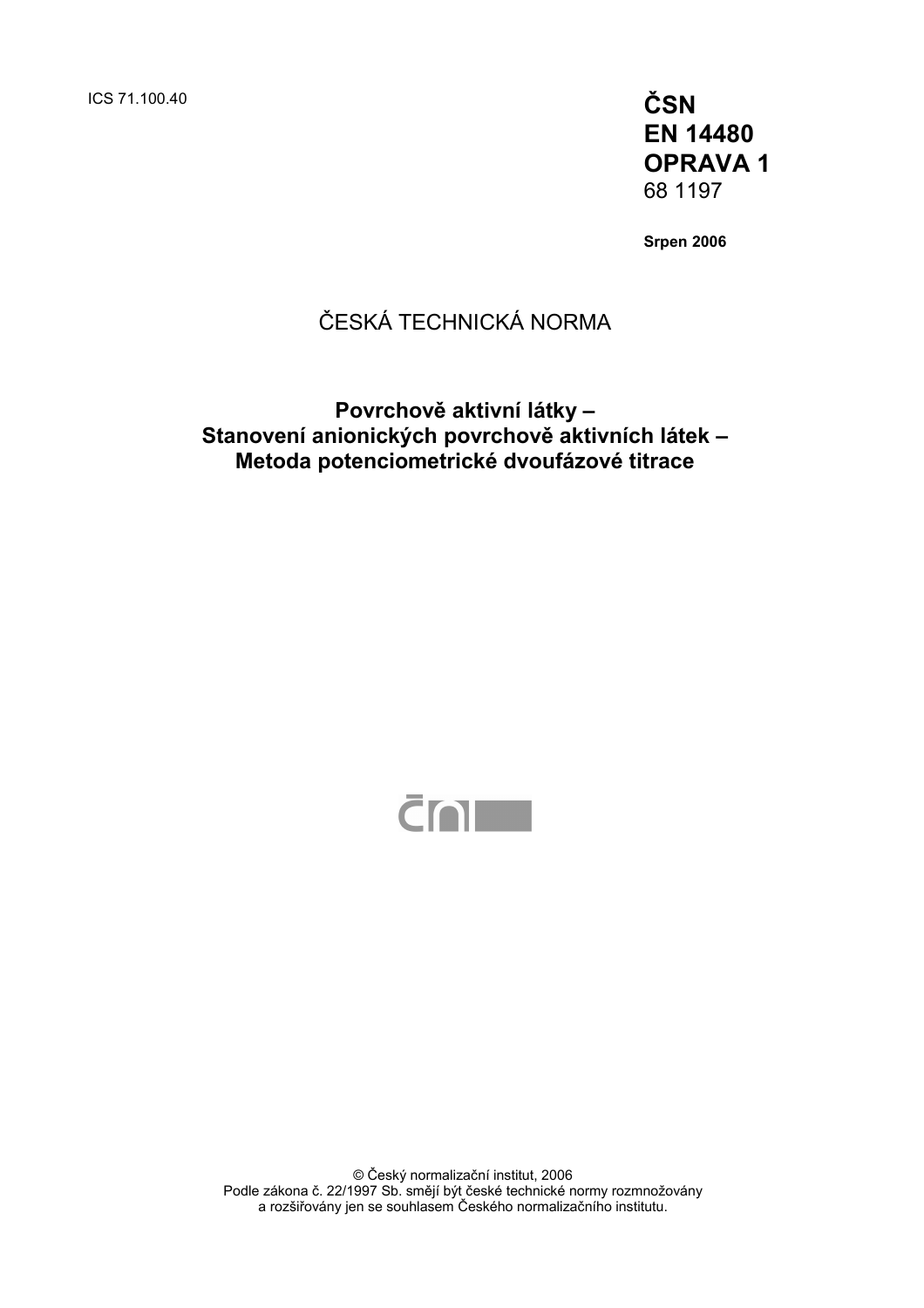ICS 71.100.40 **ČSN** 

**EN 14480 OPRAVA 1**  68 1197

**Srpen 2006** 

# ČESKÁ TECHNICKÁ NORMA

### **Povrchově aktivní látky – Stanovení anionických povrchově aktivních látek – Metoda potenciometrické dvoufázové titrace**



© Český normalizační institut, 2006 Podle zákona č. 22/1997 Sb. smějí být české technické normy rozmnožovány a rozšiřovány jen se souhlasem Českého normalizačního institutu.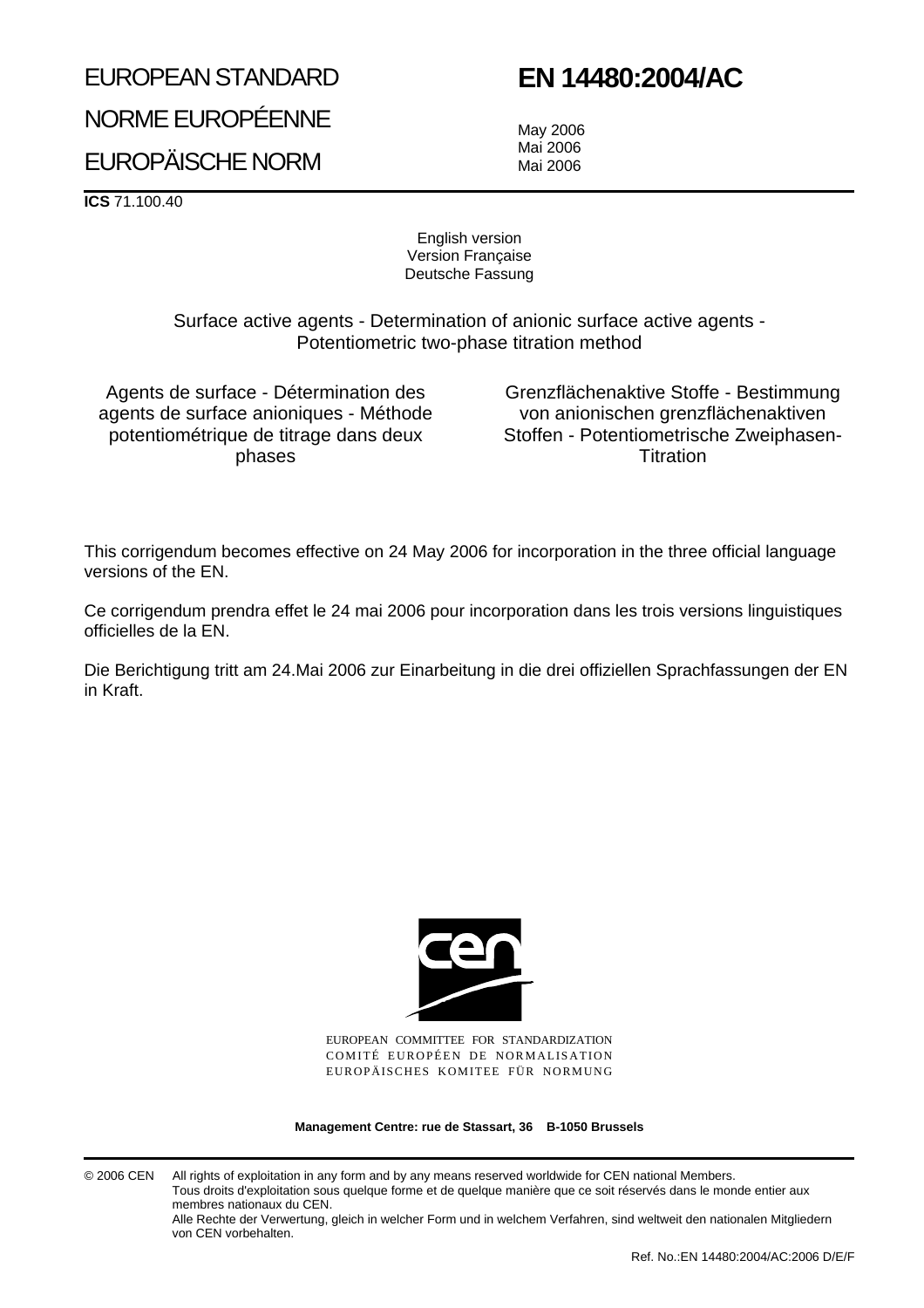## EUROPEAN STANDARD

# **EN 14480:2004/AC**

NORME EUROPÉENNE

# EUROPÄISCHE NORM

May 2006 Mai 2006 Mai 2006

**ICS** 71.100.40

English version Version Française Deutsche Fassung

Surface active agents - Determination of anionic surface active agents - Potentiometric two-phase titration method

Agents de surface - Détermination des agents de surface anioniques - Méthode potentiométrique de titrage dans deux phases

Grenzflächenaktive Stoffe - Bestimmung von anionischen grenzflächenaktiven Stoffen - Potentiometrische Zweiphasen-**Titration** 

This corrigendum becomes effective on 24 May 2006 for incorporation in the three official language versions of the EN.

Ce corrigendum prendra effet le 24 mai 2006 pour incorporation dans les trois versions linguistiques officielles de la EN.

Die Berichtigung tritt am 24.Mai 2006 zur Einarbeitung in die drei offiziellen Sprachfassungen der EN in Kraft.



EUROPEAN COMMITTEE FOR STANDARDIZATION COMITÉ EUROPÉEN DE NORMALISATION EUROPÄISCHES KOMITEE FÜR NORMUNG

**Management Centre: rue de Stassart, 36 B-1050 Brussels**

© 2006 CEN All rights of exploitation in any form and by any means reserved worldwide for CEN national Members. Tous droits d'exploitation sous quelque forme et de quelque manière que ce soit réservés dans le monde entier aux membres nationaux du CEN. Alle Rechte der Verwertung, gleich in welcher Form und in welchem Verfahren, sind weltweit den nationalen Mitgliedern

von CEN vorbehalten.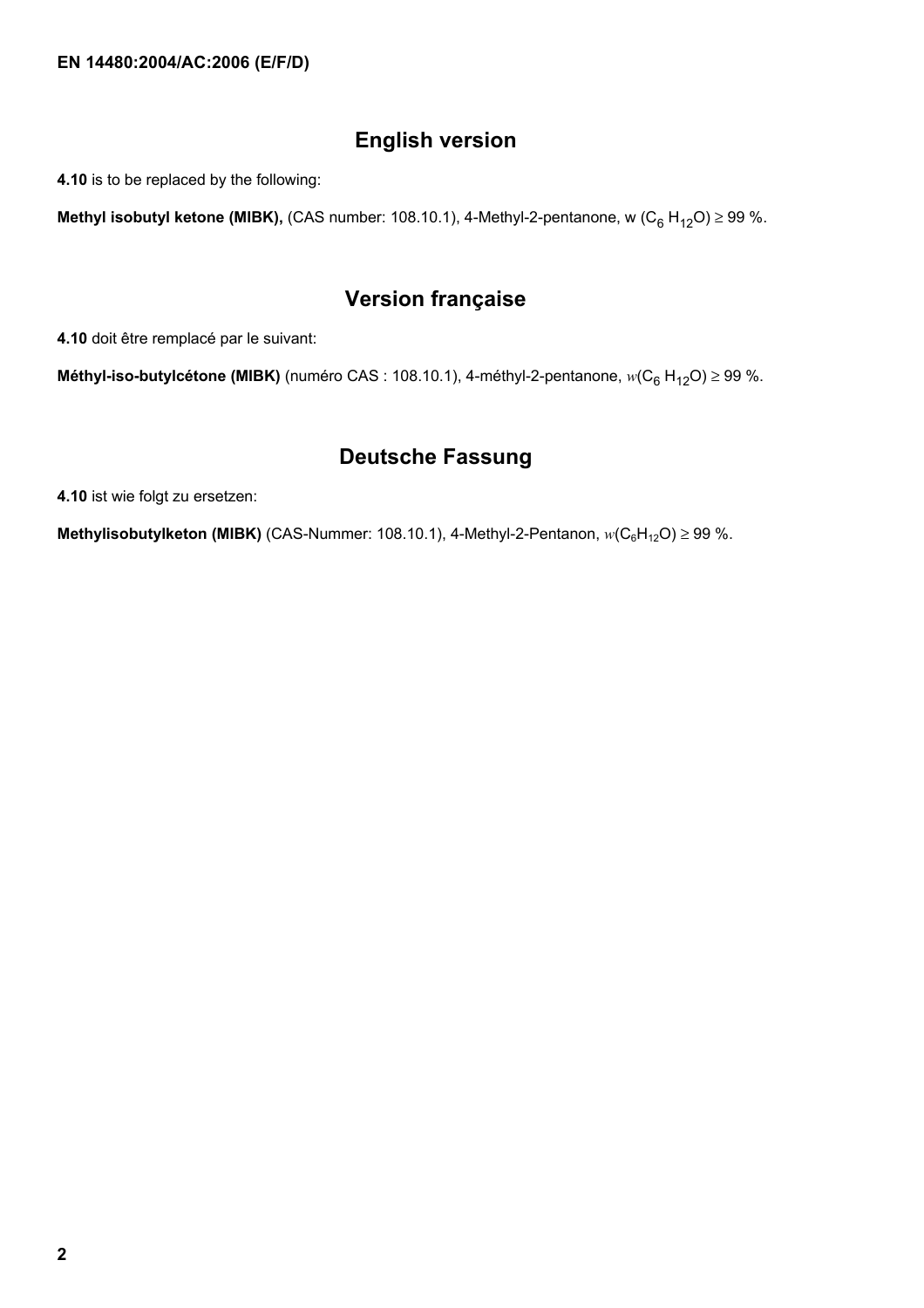## **English version**

**4.10** is to be replaced by the following:

**Methyl isobutyl ketone (MIBK),** (CAS number: 108.10.1), 4-Methyl-2-pentanone, w (C<sub>6</sub> H<sub>12</sub>O) ≥ 99 %.

### **Version française**

**4.10** doit être remplacé par le suivant:

**Méthyl-iso-butylcétone (MIBK)** (numéro CAS : 108.10.1), 4-méthyl-2-pentanone,  $w(C_6 H_{12}O) ≥ 99$  %.

## **Deutsche Fassung**

**4.10** ist wie folgt zu ersetzen:

**Methylisobutylketon (MIBK)** (CAS-Nummer: 108.10.1), 4-Methyl-2-Pentanon,  $w(C_6H_{12}O) \ge 99$  %.